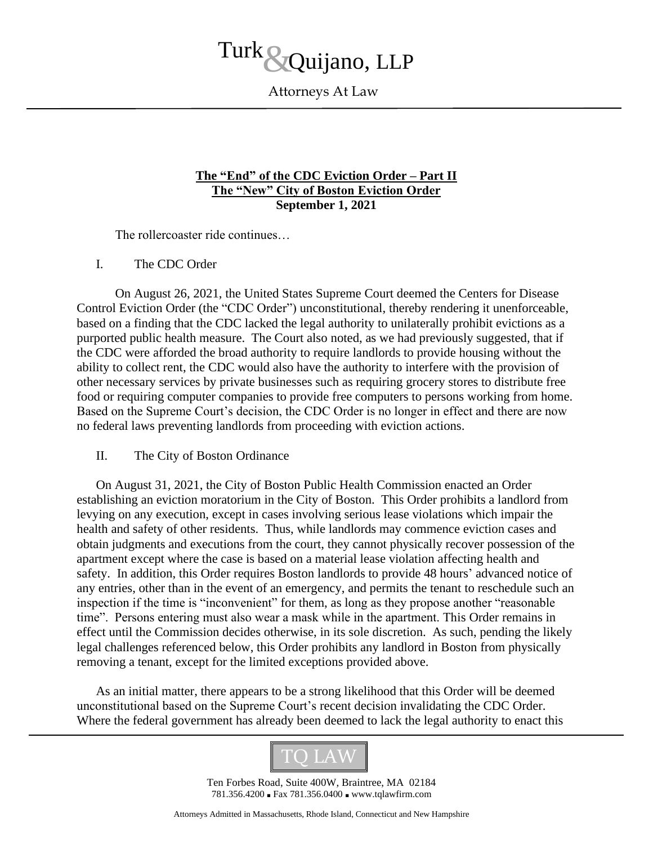## Turk Quijano, LLP

Attorneys At Law

## **The "End" of the CDC Eviction Order – Part II The "New" City of Boston Eviction Order September 1, 2021**

The rollercoaster ride continues…

## I. The CDC Order

On August 26, 2021, the United States Supreme Court deemed the Centers for Disease Control Eviction Order (the "CDC Order") unconstitutional, thereby rendering it unenforceable, based on a finding that the CDC lacked the legal authority to unilaterally prohibit evictions as a purported public health measure. The Court also noted, as we had previously suggested, that if the CDC were afforded the broad authority to require landlords to provide housing without the ability to collect rent, the CDC would also have the authority to interfere with the provision of other necessary services by private businesses such as requiring grocery stores to distribute free food or requiring computer companies to provide free computers to persons working from home. Based on the Supreme Court's decision, the CDC Order is no longer in effect and there are now no federal laws preventing landlords from proceeding with eviction actions.

## II. The City of Boston Ordinance

On August 31, 2021, the City of Boston Public Health Commission enacted an Order establishing an eviction moratorium in the City of Boston. This Order prohibits a landlord from levying on any execution, except in cases involving serious lease violations which impair the health and safety of other residents. Thus, while landlords may commence eviction cases and obtain judgments and executions from the court, they cannot physically recover possession of the apartment except where the case is based on a material lease violation affecting health and safety. In addition, this Order requires Boston landlords to provide 48 hours' advanced notice of any entries, other than in the event of an emergency, and permits the tenant to reschedule such an inspection if the time is "inconvenient" for them, as long as they propose another "reasonable time". Persons entering must also wear a mask while in the apartment. This Order remains in effect until the Commission decides otherwise, in its sole discretion. As such, pending the likely legal challenges referenced below, this Order prohibits any landlord in Boston from physically removing a tenant, except for the limited exceptions provided above.

As an initial matter, there appears to be a strong likelihood that this Order will be deemed unconstitutional based on the Supreme Court's recent decision invalidating the CDC Order. Where the federal government has already been deemed to lack the legal authority to enact this



Ten Forbes Road, Suite 400W, Braintree, MA 02184 781.356.4200 ■ Fax 781.356.0400 ■ www.tqlawfirm.com